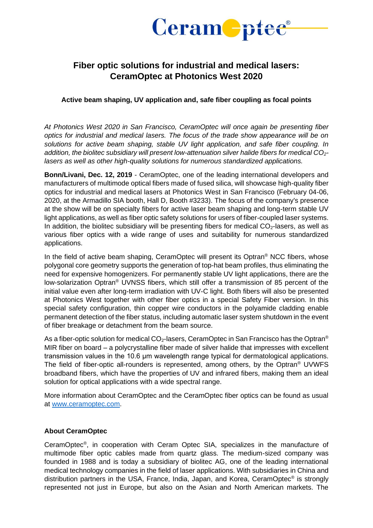

## **Fiber optic solutions for industrial and medical lasers: CeramOptec at Photonics West 2020**

## **Active beam shaping, UV application and, safe fiber coupling as focal points**

*At Photonics West 2020 in San Francisco, CeramOptec will once again be presenting fiber optics for industrial and medical lasers. The focus of the trade show appearance will be on solutions for active beam shaping, stable UV light application, and safe fiber coupling. In addition, the biolitec subsidiary will present low-attenuation silver halide fibers for medical CO2 lasers as well as other high-quality solutions for numerous standardized applications.*

**Bonn/Livani, Dec. 12, 2019** - CeramOptec, one of the leading international developers and manufacturers of multimode optical fibers made of fused silica, will showcase high-quality fiber optics for industrial and medical lasers at Photonics West in San Francisco (February 04-06, 2020, at the Armadillo SIA booth, Hall D, Booth #3233). The focus of the company's presence at the show will be on specialty fibers for active laser beam shaping and long-term stable UV light applications, as well as fiber optic safety solutions for users of fiber-coupled laser systems. In addition, the biolitec subsidiary will be presenting fibers for medical  $CO<sub>2</sub>$ -lasers, as well as various fiber optics with a wide range of uses and suitability for numerous standardized applications.

In the field of active beam shaping, CeramOptec will present its Optran<sup>®</sup> NCC fibers, whose polygonal core geometry supports the generation of top-hat beam profiles, thus eliminating the need for expensive homogenizers. For permanently stable UV light applications, there are the low-solarization Optran® UVNSS fibers, which still offer a transmission of 85 percent of the initial value even after long-term irradiation with UV-C light. Both fibers will also be presented at Photonics West together with other fiber optics in a special Safety Fiber version. In this special safety configuration, thin copper wire conductors in the polyamide cladding enable permanent detection of the fiber status, including automatic laser system shutdown in the event of fiber breakage or detachment from the beam source.

As a fiber-optic solution for medical  $CO<sub>2</sub>$ -lasers, CeramOptec in San Francisco has the Optran<sup>®</sup> MIR fiber on board – a polycrystalline fiber made of silver halide that impresses with excellent transmission values in the 10.6 μm wavelength range typical for dermatological applications. The field of fiber-optic all-rounders is represented, among others, by the Optran® UVWFS broadband fibers, which have the properties of UV and infrared fibers, making them an ideal solution for optical applications with a wide spectral range.

More information about CeramOptec and the CeramOptec fiber optics can be found as usual at [www.ceramoptec.com.](http://www.ceramoptec.com/)

## **About CeramOptec**

CeramOptec® , in cooperation with Ceram Optec SIA, specializes in the manufacture of multimode fiber optic cables made from quartz glass. The medium-sized company was founded in 1988 and is today a subsidiary of biolitec AG, one of the leading international medical technology companies in the field of laser applications. With subsidiaries in China and distribution partners in the USA, France, India, Japan, and Korea, CeramOptec® is strongly represented not just in Europe, but also on the Asian and North American markets. The